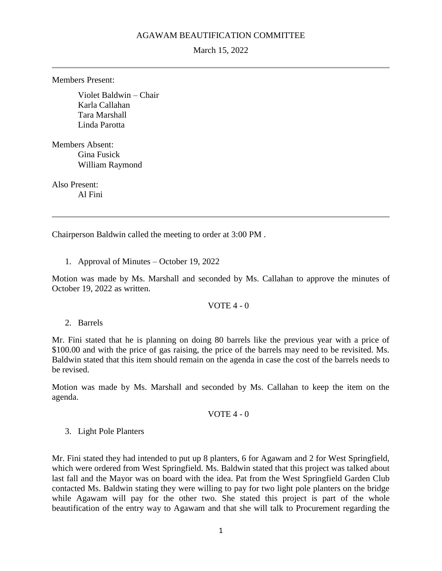## AGAWAM BEAUTIFICATION COMMITTEE

March 15, 2022

Members Present:

Violet Baldwin – Chair Karla Callahan Tara Marshall Linda Parotta

Members Absent: Gina Fusick William Raymond

Also Present: Al Fini

Chairperson Baldwin called the meeting to order at 3:00 PM .

1. Approval of Minutes – October 19, 2022

Motion was made by Ms. Marshall and seconded by Ms. Callahan to approve the minutes of October 19, 2022 as written.

#### VOTE 4 - 0

2. Barrels

Mr. Fini stated that he is planning on doing 80 barrels like the previous year with a price of \$100.00 and with the price of gas raising, the price of the barrels may need to be revisited. Ms. Baldwin stated that this item should remain on the agenda in case the cost of the barrels needs to be revised.

Motion was made by Ms. Marshall and seconded by Ms. Callahan to keep the item on the agenda.

#### VOTE  $4 - 0$

#### 3. Light Pole Planters

Mr. Fini stated they had intended to put up 8 planters, 6 for Agawam and 2 for West Springfield, which were ordered from West Springfield. Ms. Baldwin stated that this project was talked about last fall and the Mayor was on board with the idea. Pat from the West Springfield Garden Club contacted Ms. Baldwin stating they were willing to pay for two light pole planters on the bridge while Agawam will pay for the other two. She stated this project is part of the whole beautification of the entry way to Agawam and that she will talk to Procurement regarding the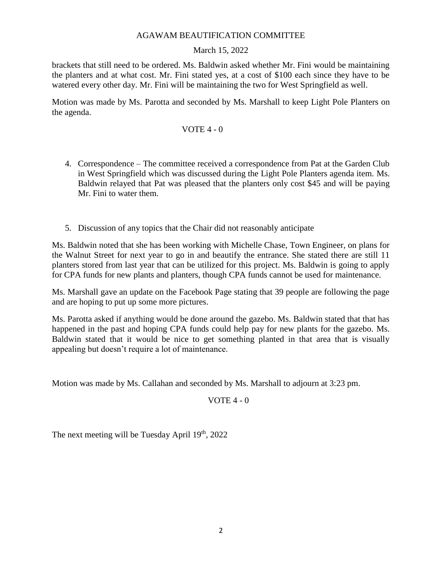# AGAWAM BEAUTIFICATION COMMITTEE

# March 15, 2022

brackets that still need to be ordered. Ms. Baldwin asked whether Mr. Fini would be maintaining the planters and at what cost. Mr. Fini stated yes, at a cost of \$100 each since they have to be watered every other day. Mr. Fini will be maintaining the two for West Springfield as well.

Motion was made by Ms. Parotta and seconded by Ms. Marshall to keep Light Pole Planters on the agenda.

## VOTE  $4 - 0$

- 4. Correspondence The committee received a correspondence from Pat at the Garden Club in West Springfield which was discussed during the Light Pole Planters agenda item. Ms. Baldwin relayed that Pat was pleased that the planters only cost \$45 and will be paying Mr. Fini to water them.
- 5. Discussion of any topics that the Chair did not reasonably anticipate

Ms. Baldwin noted that she has been working with Michelle Chase, Town Engineer, on plans for the Walnut Street for next year to go in and beautify the entrance. She stated there are still 11 planters stored from last year that can be utilized for this project. Ms. Baldwin is going to apply for CPA funds for new plants and planters, though CPA funds cannot be used for maintenance.

Ms. Marshall gave an update on the Facebook Page stating that 39 people are following the page and are hoping to put up some more pictures.

Ms. Parotta asked if anything would be done around the gazebo. Ms. Baldwin stated that that has happened in the past and hoping CPA funds could help pay for new plants for the gazebo. Ms. Baldwin stated that it would be nice to get something planted in that area that is visually appealing but doesn't require a lot of maintenance.

Motion was made by Ms. Callahan and seconded by Ms. Marshall to adjourn at 3:23 pm.

# VOTE 4 - 0

The next meeting will be Tuesday April  $19<sup>th</sup>$ , 2022